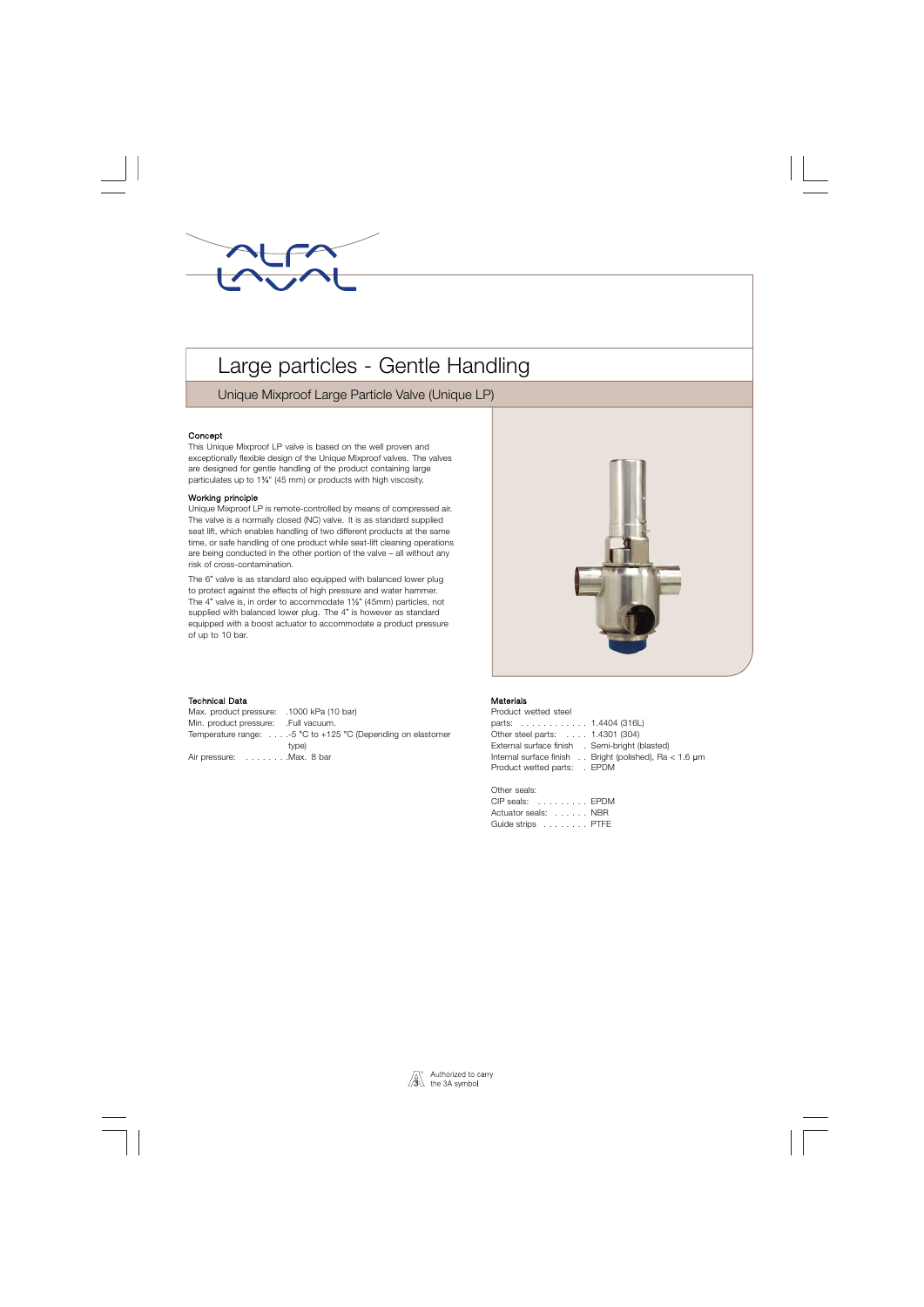

# Large particles - Gentle Handling

Unique Mixproof Large Particle Valve (Unique LP)

### Concept

This Unique Mixproof LP valve is based on the well proven and exceptionally flexible design of the Unique Mixproof valves. The valves are designed for gentle handling of the product containing large particulates up to 1¾" (45 mm) or products with high viscosity.

#### Working principle

Unique Mixproof LP is remote-controlled by means of compressed air. The valve is a normally closed (NC) valve. It is as standard supplied seat lift, which enables handling of two different products at the same time, or safe handling of one product while seat-lift cleaning operations are being conducted in the other portion of the valve – all without any risk of cross-contamination.

The 6" valve is as standard also equipped with balanced lower plug to protect against the effects of high pressure and water hammer. The 4" valve is, in order to accommodate 1½" (45mm) particles, not supplied with balanced lower plug. The 4" is however as standard equipped with a boost actuator to accommodate a product pressure of up to 10 bar.

#### . Technical Data

Max. product pressure: .1000 kPa (10 bar) Min. product pressure: .Full vacuum. Temperature range: . . . .-5 °C to +125 °C (Depending on elastomer type) Air pressure: . . . . . . . . Max. 8 bar

### Materials

Product wetted steel parts: . . . . . . . . . . . . 1.4404 (316L) Other steel parts: . . . . 1.4301 (304) External surface finish . Semi-bright (blasted) Internal surface finish . . Bright (polished), Ra < 1.6 µm Product wetted parts: . EPDM

Other seals: CIP seals: . . . . . . . . . EPDM

| <u> Un Uudio:</u> Uiv |  |  |  |  |  |  |
|-----------------------|--|--|--|--|--|--|
| Actuator seals: NBR   |  |  |  |  |  |  |
| Guide strips PTFE     |  |  |  |  |  |  |

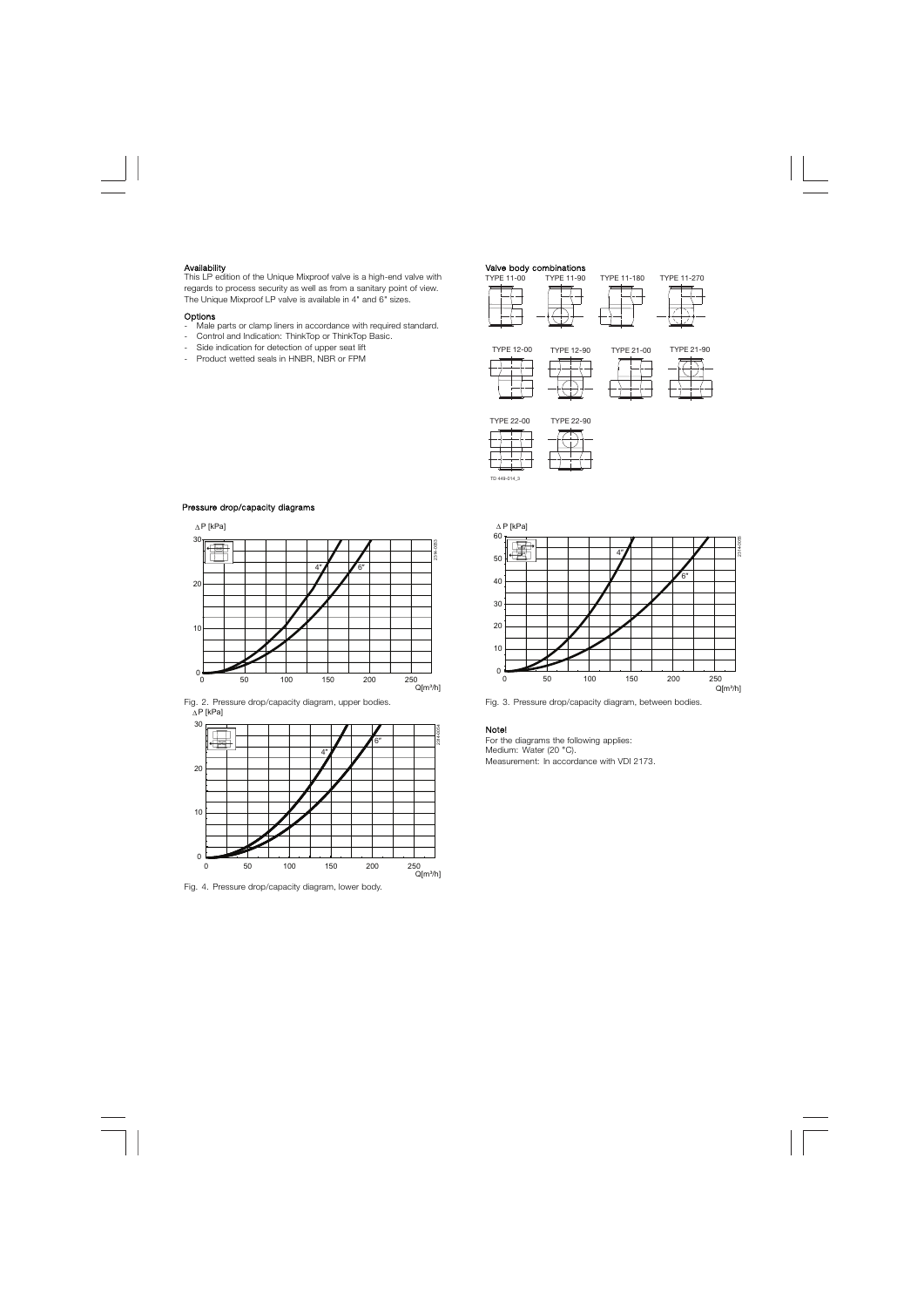Availability<br>This LP edition of the Unique Mixproof valve is a high-end valve with TYPE 11-00 TYPE 11-90 This LP edition of the Unique Mixproof valve is a high-end valve with regards to process security as well as from a sanitary point of view. The Unique Mixproof LP valve is available in 4" and 6" sizes.

#### Options

- Male parts or clamp liners in accordance with required standard.
- Control and Indication: ThinkTop or ThinkTop Basic.
- Side indication for detection of upper seat lift
- Product wetted seals in HNBR, NBR or FPM

















| <b>TYPE 22-90</b> |  |  |  |  |  |  |
|-------------------|--|--|--|--|--|--|
|                   |  |  |  |  |  |  |
|                   |  |  |  |  |  |  |
|                   |  |  |  |  |  |  |
|                   |  |  |  |  |  |  |

TD 449-014\_3

# 0 50 100 150 200 250 0 10 20 30 40 50 60 ∆ P [kPa] 2314-0055  $Q[m^3/h]$ 4″ 6″

Fig. 2. Pressure drop/capacity diagram, upper bodies. Fig. 3. Pressure drop/capacity diagram, between bodies.

#### Note!

For the diagrams the following applies: Medium: Water (20 °C). Measurement: In accordance with VDI 2173.

# Pressure drop/capacity diagrams







Fig. 4. Pressure drop/capacity diagram, lower body.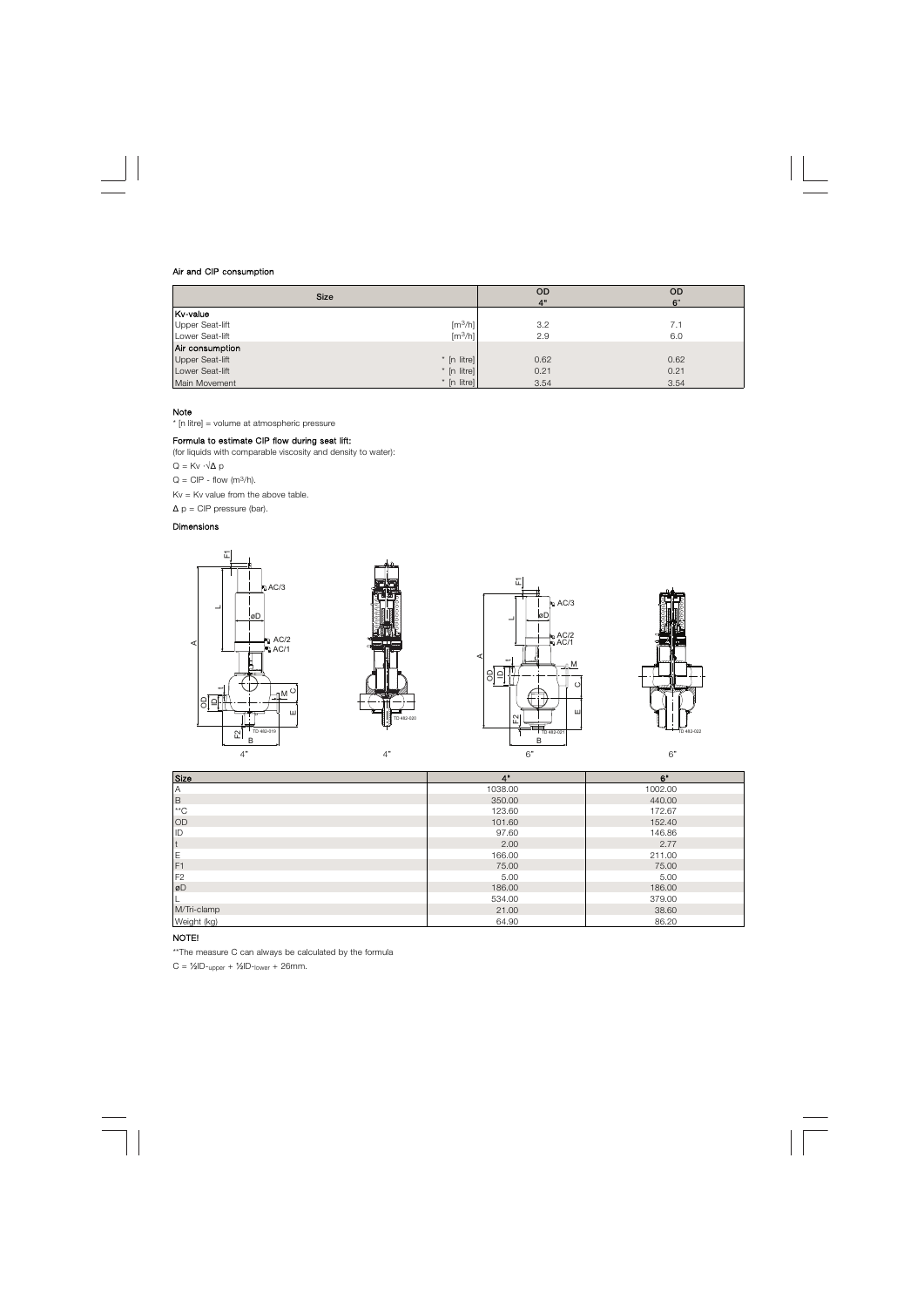#### Air and CIP consumption

| <b>Size</b>                                     | <b>OD</b><br>4" | <b>OD</b><br>6" |
|-------------------------------------------------|-----------------|-----------------|
| Kv-value                                        |                 |                 |
| [m <sup>3</sup> /h]<br>Upper Seat-lift          | 3.2             | 7.1             |
| $\left[\frac{m^3}{h}\right]$<br>Lower Seat-lift | 2.9             | 6.0             |
| Air consumption                                 |                 |                 |
| Upper Seat-lift<br>$*$ [n litre]                | 0.62            | 0.62            |
| * [n litre]<br>Lower Seat-lift                  | 0.21            | 0.21            |
| $*$ [n litre]<br>Main Movement                  | 3.54            | 3.54            |

# Note

\* [n litre] = volume at atmospheric pressure

# Formula to estimate CIP flow during seat lift:

(for liquids with comparable viscosity and density to water):

 $Q = Kv \cdot \sqrt{\Delta p}$ 

 $Q = CIP - flow (m<sup>3</sup>/h).$ 

 $Kv = Kv$  value from the above table.

 $\Delta p = CIP$  pressure (bar).

# Dimensions



| Size           | 4"      | 6"      |
|----------------|---------|---------|
| $\mathsf{A}$   | 1038.00 | 1002.00 |
| $\,$ B         | 350.00  | 440.00  |
| $*$ *C         | 123.60  | 172.67  |
| OD             | 101.60  | 152.40  |
| ID             | 97.60   | 146.86  |
| t              | 2.00    | 2.77    |
| E<br>F1        | 166.00  | 211.00  |
|                | 75.00   | 75.00   |
| F <sub>2</sub> | 5.00    | 5.00    |
| øD             | 186.00  | 186.00  |
|                | 534.00  | 379.00  |
| M/Tri-clamp    | 21.00   | 38.60   |
| Weight (kg)    | 64.90   | 86.20   |

# NOTE!

\*\*The measure C can always be calculated by the formula

 $C = \frac{1}{2}$ ID-<sub>upper</sub> +  $\frac{1}{2}$ ID-<sub>lower</sub> + 26mm.